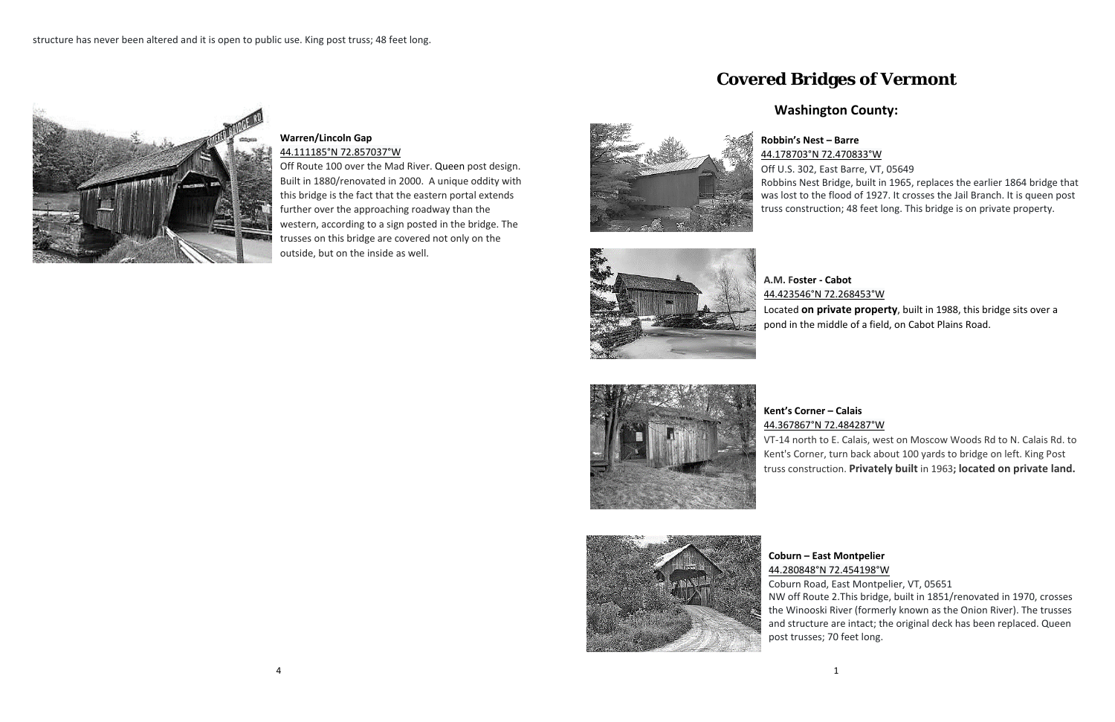#### 4

#### **Warren/Lincoln Gap**  44.111185°N 72.857037°W

Off Route 100 over the Mad River. Queen post design. Built in 1880/renovated in 2000. A unique oddity with this bridge is the fact that the eastern portal extends further over the approaching roadway than the western, according to a sign posted in the bridge. The trusses on this bridge are covered not only on the outside, but on the inside as well.

# **Covered Bridges of Vermont**

## **Washington County:**



# **Robbin's Nest – Barre**  44.178703°N 72.470833°W

Off U.S. 302, East Barre, VT, 05649 Robbins Nest Bridge, built in 1965, replaces the earlier 1864 bridge that was lost to the flood of 1927. It crosses the Jail Branch. It is queen post truss construction; 48 feet long. This bridge is on private property.



**A.M. Foster ‐ Cabot** 



### 44.423546°N 72.268453°W

Located **on private property**, built in 1988, this bridge sits over a pond in the middle of a field, on Cabot Plains Road.





# 44.367867°N 72.484287°W

VT‐14 north to E. Calais, west on Moscow Woods Rd to N. Calais Rd. to Kent's Corner, turn back about 100 yards to bridge on left. King Post truss construction. **Privately built** in 1963**; located on private land.**

**Coburn – East Montpelier**  44.280848°N 72.454198°W Coburn Road, East Montpelier, VT, 05651 NW off Route 2.This bridge, built in 1851/renovated in 1970, crosses the Winooski River (formerly known as the Onion River). The trusses and structure are intact; the original deck has been replaced. Queen post trusses; 70 feet long.